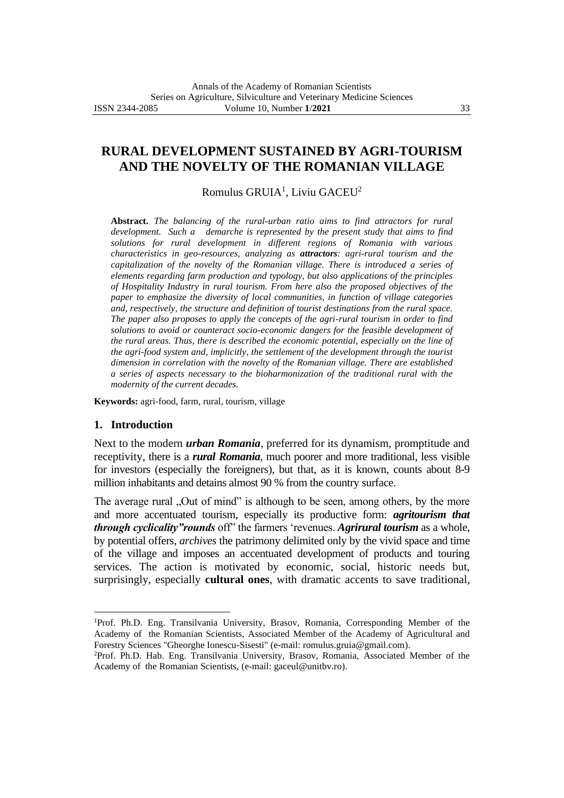# **RURAL DEVELOPMENT SUSTAINED BY AGRI-TOURISM AND THE NOVELTY OF THE ROMANIAN VILLAGE**

Romulus GRUIA<sup>1</sup>, Liviu GACEU<sup>2</sup>

**Abstract.** *The balancing of the rural-urban ratio aims to find attractors for rural development. Such a demarche is represented by the present study that aims to find solutions for rural development in different regions of Romania with various characteristics in geo-resources, analyzing as attractors: agri-rural tourism and the capitalization of the novelty of the Romanian village. There is introduced a series of elements regarding farm production and typology, but also applications of the principles of Hospitality Industry in rural tourism. From here also the proposed objectives of the paper to emphasize the diversity of local communities, in function of village categories and, respectively, the structure and definition of tourist destinations from the rural space. The paper also proposes to apply the concepts of the agri-rural tourism in order to find solutions to avoid or counteract socio-economic dangers for the feasible development of the rural areas. Thus, there is described the economic potential, especially on the line of the agri-food system and, implicitly, the settlement of the development through the tourist dimension in correlation with the novelty of the Romanian village. There are established a series of aspects necessary to the bioharmonization of the traditional rural with the modernity of the current decades.*

**Keywords:** agri-food, farm, rural, tourism, village

#### **1. Introduction**

Next to the modern *urban Romania,* preferred for its dynamism, promptitude and receptivity, there is a *rural Romania*, much poorer and more traditional, less visible for investors (especially the foreigners), but that, as it is known, counts about 8-9 million inhabitants and detains almost 90 % from the country surface.

The average rural , Out of mind" is although to be seen, among others, by the more and more accentuated tourism, especially its productive form: *agritourism that through cyclicality"rounds* off" the farmers 'revenues. *Agrirural tourism* as a whole, by potential offers, *archives* the patrimony delimited only by the vivid space and time of the village and imposes an accentuated development of products and touring services. The action is motivated by economic, social, historic needs but, surprisingly, especially **cultural ones**, with dramatic accents to save traditional,

<sup>1</sup>Prof. Ph.D. Eng. Transilvania University, Brasov, Romania, Corresponding Member of the Academy of the Romanian Scientists, Associated Member of the Academy of Agricultural and Forestry Sciences "Gheorghe Ionescu-Sisesti" (e-mail: romulus.gruia@gmail.com).

<sup>2</sup>Prof. Ph.D. Hab. Eng. Transilvania University, Brasov, Romania, Associated Member of the Academy of the Romanian Scientists, (e-mail: gaceul@unitbv.ro).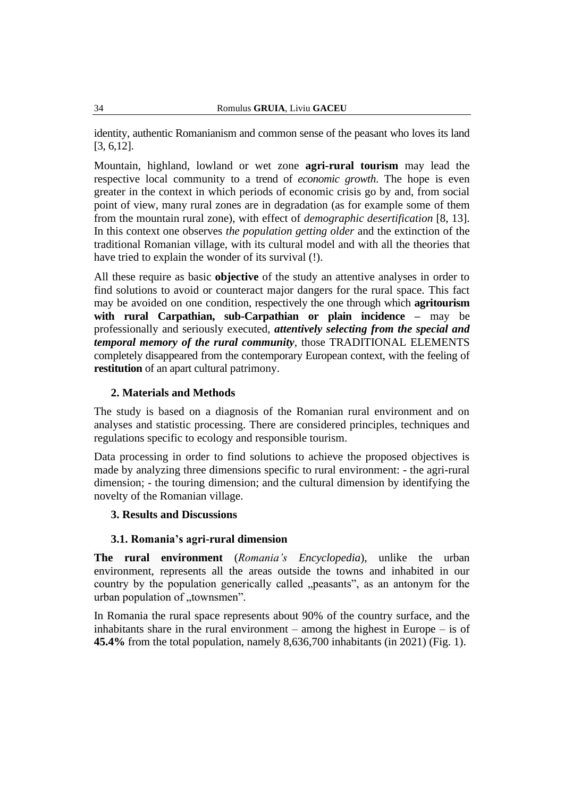identity, authentic Romanianism and common sense of the peasant who loves its land [3, 6,12].

Mountain, highland, lowland or wet zone **agri-rural tourism** may lead the respective local community to a trend of *economic growth*. The hope is even greater in the context in which periods of economic crisis go by and, from social point of view, many rural zones are in degradation (as for example some of them from the mountain rural zone), with effect of *demographic desertification* [8, 13]. In this context one observes *the population getting older* and the extinction of the traditional Romanian village, with its cultural model and with all the theories that have tried to explain the wonder of its survival (!).

All these require as basic **objective** of the study an attentive analyses in order to find solutions to avoid or counteract major dangers for the rural space. This fact may be avoided on one condition, respectively the one through which **agritourism with rural Carpathian, sub-Carpathian or plain incidence –** may be professionally and seriously executed, *attentively selecting from the special and temporal memory of the rural community*, those TRADITIONAL ELEMENTS completely disappeared from the contemporary European context, with the feeling of **restitution** of an apart cultural patrimony.

### **2. Materials and Methods**

The study is based on a diagnosis of the Romanian rural environment and on analyses and statistic processing. There are considered principles, techniques and regulations specific to ecology and responsible tourism.

Data processing in order to find solutions to achieve the proposed objectives is made by analyzing three dimensions specific to rural environment: - the agri-rural dimension; - the touring dimension; and the cultural dimension by identifying the novelty of the Romanian village.

### **3. Results and Discussions**

### **3.1. Romania's agri-rural dimension**

**The rural environment** (*Romania's Encyclopedia*), unlike the urban environment, represents all the areas outside the towns and inhabited in our country by the population generically called "peasants", as an antonym for the urban population of "townsmen".

In Romania the rural space represents about 90% of the country surface, and the inhabitants share in the rural environment – among the highest in Europe – is of **45.4%** from the total population, namely 8,636,700 inhabitants (in 2021) (Fig. 1).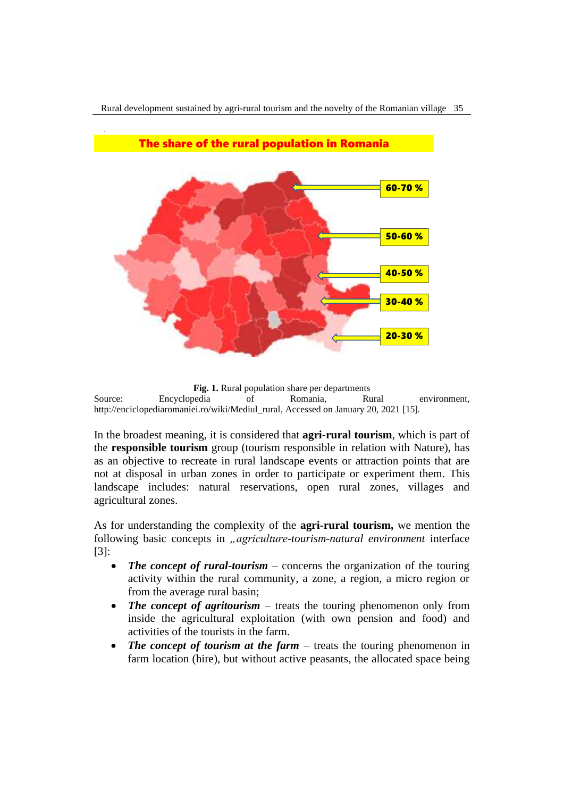

Rural development sustained by agri-rural tourism and the novelty of the Romanian village 35

**Fig. 1.** Rural population share per departments Source: Encyclopedia of Romania, Rural environment, [http://enciclopediaromaniei.ro/wiki/Mediul\\_rural,](http://enciclopediaromaniei.ro/wiki/Mediul_rural) Accessed on January 20, 2021 [15].

In the broadest meaning, it is considered that **agri-rural tourism**, which is part of the **responsible tourism** group (tourism responsible in relation with Nature), has as an objective to recreate in rural landscape events or attraction points that are not at disposal in urban zones in order to participate or experiment them. This landscape includes: natural reservations, open rural zones, villages and agricultural zones.

As for understanding the complexity of the **agri-rural tourism,** we mention the following basic concepts in *"agriculture-tourism-natural environment* interface [3]:

- *The concept of rural-tourism* concerns the organization of the touring activity within the rural community, a zone, a region, a micro region or from the average rural basin;
- *The concept of agritourism* treats the touring phenomenon only from inside the agricultural exploitation (with own pension and food) and activities of the tourists in the farm.
- *The concept of tourism at the farm* treats the touring phenomenon in farm location (hire), but without active peasants, the allocated space being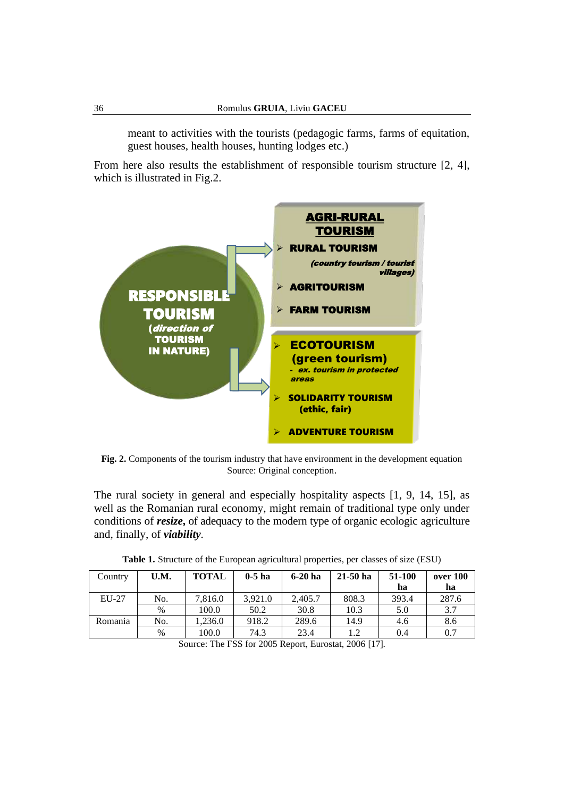meant to activities with the tourists (pedagogic farms, farms of equitation, guest houses, health houses, hunting lodges etc.)

From here also results the establishment of responsible tourism structure [2, 4], which is illustrated in Fig.2.



**Fig. 2.** Components of the tourism industry that have environment in the development equation Source: Original conception.

The rural society in general and especially hospitality aspects [1, 9, 14, 15], as well as the Romanian rural economy, might remain of traditional type only under conditions of *resize***,** of adequacy to the modern type of organic ecologic agriculture and, finally, of *viability.*

| Country | U.M. | <b>TOTAL</b> | $0-5$ ha | $6-20$ ha | $21-50$ ha | 51-100 | over 100 |
|---------|------|--------------|----------|-----------|------------|--------|----------|
|         |      |              |          |           |            | ha     | ha       |
| $EU-27$ | No.  | 7,816.0      | 3.921.0  | 2,405.7   | 808.3      | 393.4  | 287.6    |
|         | $\%$ | 100.0        | 50.2     | 30.8      | 10.3       | 5.0    | 3.7      |
| Romania | No.  | 1.236.0      | 918.2    | 289.6     | 14.9       | 4.6    | 8.6      |
|         | %    | 100.0        | 74.3     | 23.4      | 1.2        | 0.4    | 0.7      |

**Table 1.** Structure of the European agricultural properties, per classes of size (ESU)

Source: The FSS for 2005 Report, Eurostat, 2006 [17].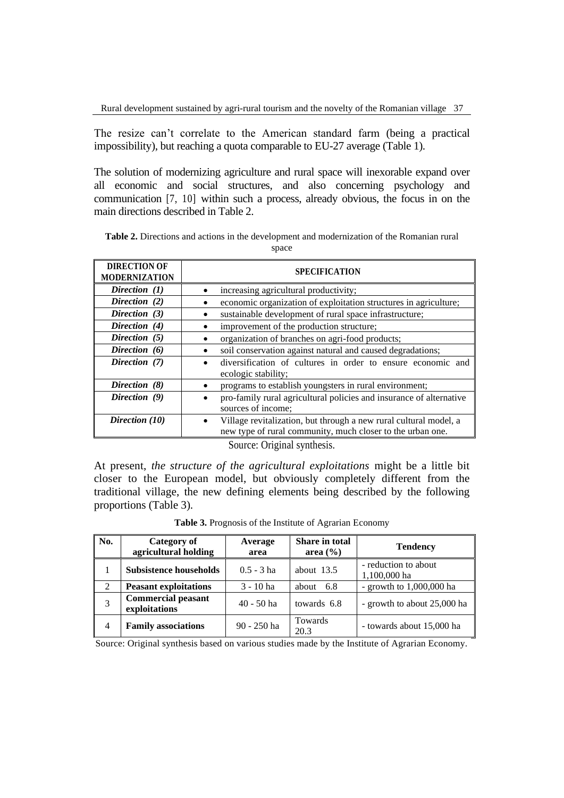The resize can't correlate to the American standard farm (being a practical impossibility), but reaching a quota comparable to EU-27 average (Table 1).

The solution of modernizing agriculture and rural space will inexorable expand over all economic and social structures, and also concerning psychology and communication [7, 10] within such a process, already obvious, the focus in on the main directions described in Table 2.

**Table 2.** Directions and actions in the development and modernization of the Romanian rural space

| <b>DIRECTION OF</b><br><b>MODERNIZATION</b> | <b>SPECIFICATION</b>                                                                                                            |
|---------------------------------------------|---------------------------------------------------------------------------------------------------------------------------------|
| Direction (1)                               | increasing agricultural productivity;                                                                                           |
| Direction (2)                               | economic organization of exploitation structures in agriculture;                                                                |
| Direction (3)                               | sustainable development of rural space infrastructure;                                                                          |
| Direction (4)                               | improvement of the production structure;                                                                                        |
| Direction (5)                               | organization of branches on agri-food products;                                                                                 |
| Direction (6)                               | soil conservation against natural and caused degradations;                                                                      |
| Direction (7)                               | diversification of cultures in order to ensure economic and<br>ecologic stability;                                              |
| Direction (8)                               | programs to establish youngsters in rural environment;                                                                          |
| Direction (9)                               | pro-family rural agricultural policies and insurance of alternative<br>sources of income;                                       |
| Direction (10)                              | Village revitalization, but through a new rural cultural model, a<br>new type of rural community, much closer to the urban one. |

At present, *the structure of the agricultural exploitations* might be a little bit closer to the European model, but obviously completely different from the traditional village, the new defining elements being described by the following proportions (Table 3).

| No.            | Category of<br>agricultural holding        | Average<br>area | <b>Share in total</b><br>area $(\% )$ | <b>Tendency</b>                      |
|----------------|--------------------------------------------|-----------------|---------------------------------------|--------------------------------------|
|                | <b>Subsistence households</b>              | $0.5 - 3$ ha    | about $13.5$                          | - reduction to about<br>1,100,000 ha |
| 2              | <b>Peasant exploitations</b>               | $3 - 10$ ha     | -6.8<br>about                         | - growth to $1,000,000$ ha           |
| 3              | <b>Commercial peasant</b><br>exploitations | $40 - 50$ ha    | towards 6.8                           | - growth to about 25,000 ha          |
| $\overline{4}$ | <b>Family associations</b>                 | $90 - 250$ ha   | Towards<br>20.3                       | - towards about 15,000 ha            |

**Table 3.** Prognosis of the Institute of Agrarian Economy

Source: Original synthesis based on various studies made by the Institute of Agrarian Economy.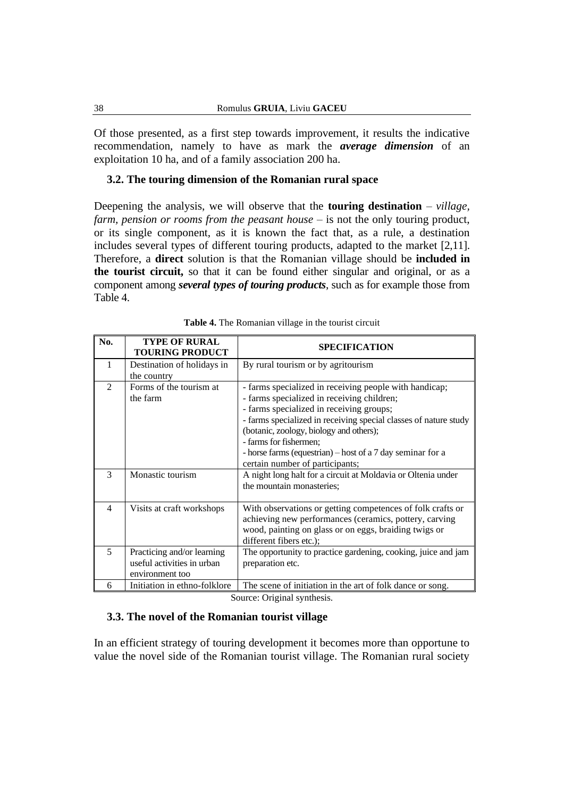Of those presented, as a first step towards improvement, it results the indicative recommendation, namely to have as mark the *average dimension* of an exploitation 10 ha, and of a family association 200 ha.

#### **3.2. The touring dimension of the Romanian rural space**

Deepening the analysis, we will observe that the **touring destination** – *village, farm, pension or rooms from the peasant house* – is not the only touring product, or its single component, as it is known the fact that, as a rule, a destination includes several types of different touring products, adapted to the market [2,11]. Therefore, a **direct** solution is that the Romanian village should be **included in the tourist circuit,** so that it can be found either singular and original, or as a component among *several types of touring products*, such as for example those from Table 4.

| No.            | <b>TYPE OF RURAL</b><br><b>TOURING PRODUCT</b>                              | <b>SPECIFICATION</b>                                                                                                                                                                                                                                                                                                                                                                       |
|----------------|-----------------------------------------------------------------------------|--------------------------------------------------------------------------------------------------------------------------------------------------------------------------------------------------------------------------------------------------------------------------------------------------------------------------------------------------------------------------------------------|
| 1              | Destination of holidays in<br>the country                                   | By rural tourism or by agritourism                                                                                                                                                                                                                                                                                                                                                         |
| $\mathfrak{D}$ | Forms of the tourism at<br>the farm                                         | - farms specialized in receiving people with handicap;<br>- farms specialized in receiving children;<br>- farms specialized in receiving groups;<br>- farms specialized in receiving special classes of nature study<br>(botanic, zoology, biology and others);<br>- farms for fishermen;<br>- horse farms (equestrian) – host of a 7 day seminar for a<br>certain number of participants; |
| 3              | Monastic tourism                                                            | A night long halt for a circuit at Moldavia or Oltenia under<br>the mountain monasteries;                                                                                                                                                                                                                                                                                                  |
| 4              | Visits at craft workshops                                                   | With observations or getting competences of folk crafts or<br>achieving new performances (ceramics, pottery, carving<br>wood, painting on glass or on eggs, braiding twigs or<br>different fibers etc.);                                                                                                                                                                                   |
| 5              | Practicing and/or learning<br>useful activities in urban<br>environment too | The opportunity to practice gardening, cooking, juice and jam<br>preparation etc.                                                                                                                                                                                                                                                                                                          |
| 6              | Initiation in ethno-folklore                                                | The scene of initiation in the art of folk dance or song.                                                                                                                                                                                                                                                                                                                                  |

| Table 4. The Romanian village in the tourist circuit |  |
|------------------------------------------------------|--|
|------------------------------------------------------|--|

Source: Original synthesis.

#### **3.3. The novel of the Romanian tourist village**

In an efficient strategy of touring development it becomes more than opportune to value the novel side of the Romanian tourist village. The Romanian rural society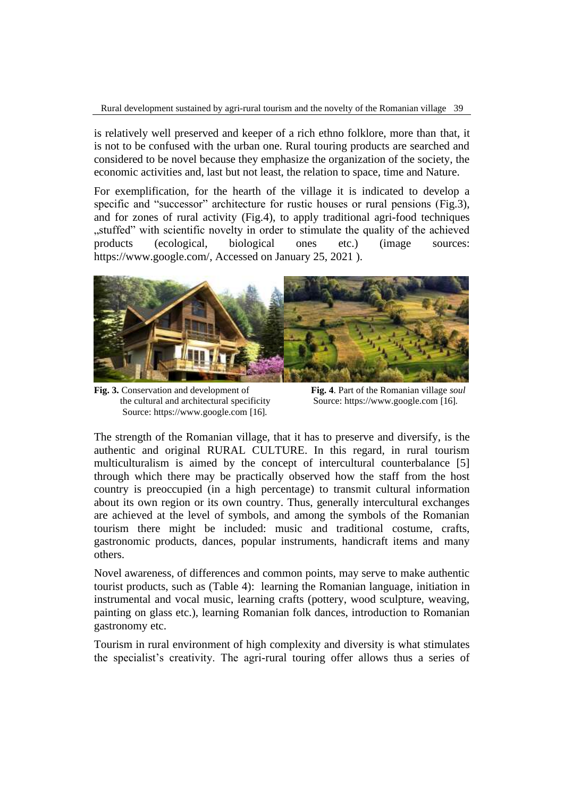is relatively well preserved and keeper of a rich ethno folklore, more than that, it is not to be confused with the urban one. Rural touring products are searched and considered to be novel because they emphasize the organization of the society, the economic activities and, last but not least, the relation to space, time and Nature.

For exemplification, for the hearth of the village it is indicated to develop a specific and "successor" architecture for rustic houses or rural pensions (Fig.3), and for zones of rural activity (Fig.4), to apply traditional agri-food techniques "stuffed" with scientific novelty in order to stimulate the quality of the achieved products (ecological, biological ones etc.) (image sources: [https://www.google.com/,](https://www.google.com/) Accessed on January 25, 2021 ).



**Fig. 3.** Conservation and development of **Fig. 4**. Part of the Romanian village *soul* the cultural and architectural specificity Source[: https://www.google.com](https://www.google.com/) [16]. Source: [https://www.google.com](https://www.google.com/) [16].

The strength of the Romanian village, that it has to preserve and diversify, is the authentic and original RURAL CULTURE. In this regard, in rural tourism multiculturalism is aimed by the concept of intercultural counterbalance [5] through which there may be practically observed how the staff from the host country is preoccupied (in a high percentage) to transmit cultural information about its own region or its own country. Thus, generally intercultural exchanges are achieved at the level of symbols, and among the symbols of the Romanian tourism there might be included: music and traditional costume, crafts, gastronomic products, dances, popular instruments, handicraft items and many others.

Novel awareness, of differences and common points, may serve to make authentic tourist products, such as (Table 4): learning the Romanian language, initiation in instrumental and vocal music, learning crafts (pottery, wood sculpture, weaving, painting on glass etc.), learning Romanian folk dances, introduction to Romanian gastronomy etc.

Tourism in rural environment of high complexity and diversity is what stimulates the specialist's creativity. The agri-rural touring offer allows thus a series of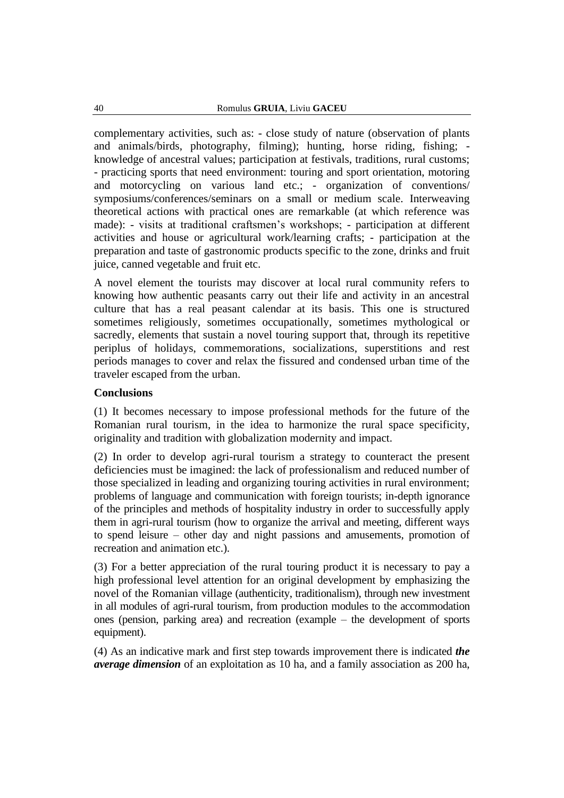complementary activities, such as: - close study of nature (observation of plants and animals/birds, photography, filming); hunting, horse riding, fishing; knowledge of ancestral values; participation at festivals, traditions, rural customs; - practicing sports that need environment: touring and sport orientation, motoring and motorcycling on various land etc.; - organization of conventions/ symposiums/conferences/seminars on a small or medium scale. Interweaving theoretical actions with practical ones are remarkable (at which reference was made): - visits at traditional craftsmen's workshops; - participation at different activities and house or agricultural work/learning crafts; - participation at the preparation and taste of gastronomic products specific to the zone, drinks and fruit juice, canned vegetable and fruit etc.

A novel element the tourists may discover at local rural community refers to knowing how authentic peasants carry out their life and activity in an ancestral culture that has a real peasant calendar at its basis. This one is structured sometimes religiously, sometimes occupationally, sometimes mythological or sacredly, elements that sustain a novel touring support that, through its repetitive periplus of holidays, commemorations, socializations, superstitions and rest periods manages to cover and relax the fissured and condensed urban time of the traveler escaped from the urban.

#### **Conclusions**

(1) It becomes necessary to impose professional methods for the future of the Romanian rural tourism, in the idea to harmonize the rural space specificity, originality and tradition with globalization modernity and impact.

(2) In order to develop agri-rural tourism a strategy to counteract the present deficiencies must be imagined: the lack of professionalism and reduced number of those specialized in leading and organizing touring activities in rural environment; problems of language and communication with foreign tourists; in-depth ignorance of the principles and methods of hospitality industry in order to successfully apply them in agri-rural tourism (how to organize the arrival and meeting, different ways to spend leisure – other day and night passions and amusements, promotion of recreation and animation etc.).

(3) For a better appreciation of the rural touring product it is necessary to pay a high professional level attention for an original development by emphasizing the novel of the Romanian village (authenticity, traditionalism), through new investment in all modules of agri-rural tourism, from production modules to the accommodation ones (pension, parking area) and recreation (example – the development of sports equipment).

(4) As an indicative mark and first step towards improvement there is indicated *the average dimension* of an exploitation as 10 ha, and a family association as 200 ha,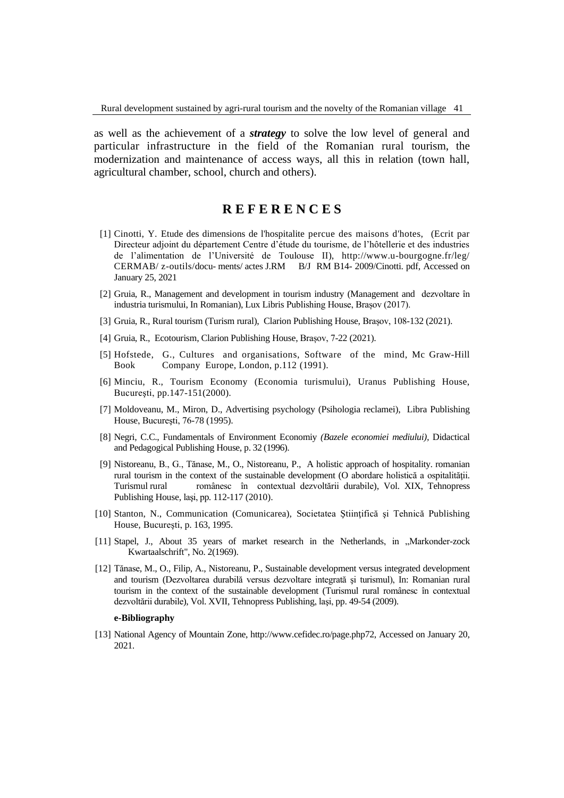as well as the achievement of a *strategy* to solve the low level of general and particular infrastructure in the field of the Romanian rural tourism, the modernization and maintenance of access ways, all this in relation (town hall, agricultural chamber, school, church and others).

## **R E F E R E N C E S**

- [1] Cinotti, Y. Etude des dimensions de l'hospitalite percue des maisons d'hotes, (Ecrit par Directeur adjoint du département Centre d'étude du tourisme, de l'hôtellerie et des industries de l'alimentation de l'Université de Toulouse II), http://www.u-bourgogne.fr/leg/ CERMAB/ z-outils/docu- ments/ actes J.RM B/J RM B14- 2009/Cinotti. pdf, Accessed on January 25, 2021
- [2] Gruia, R., Management and development in tourism industry (Management and dezvoltare în industria turismului, In Romanian), Lux Libris Publishing House, Brașov (2017).
- [3] Gruia, R., Rural tourism (Turism rural), Clarion Publishing House, Brașov, 108-132 (2021).
- [4] Gruia, R., Ecotourism, Clarion Publishing House, Brașov, 7-22 (2021).
- [5] Hofstede, G., Cultures and organisations, Software of the mind, Mc Graw-Hill Book Company Europe, London, p.112 (1991).
- [6] Minciu, R., Tourism Economy (Economia turismului), Uranus Publishing House, Bucureşti, pp.147-151(2000).
- [7] Moldoveanu, M., Miron, D., Advertising psychology (Psihologia reclamei), Libra Publishing House, Bucureşti, 76-78 (1995).
- [8] Negri, C.C., Fundamentals of Environment Economiy *(Bazele economiei mediului),* Didactical and Pedagogical Publishing House, p. 32 (1996).
- [9] Nistoreanu, B., G., Tănase, M., O., Nistoreanu, P., A holistic approach of hospitality. romanian rural tourism in the context of the sustainable development (O abordare holistică a ospitalităţii. Turismul rural românesc în contextual dezvoltării durabile), Vol. XIX, Tehnopress Publishing House, laşi, pp. 112-117 (2010).
- [10] Stanton, N., Communication (Comunicarea), Societatea Ştiinţifică şi Tehnică Publishing House, Bucureşti, p. 163, 1995.
- [11] Stapel, J., About 35 years of market research in the Netherlands, in "Markonder-zock Kwartaalschrift", No. 2(1969).
- [12] Tănase, M., O., Filip, A., Nistoreanu, P., Sustainable development versus integrated development and tourism (Dezvoltarea durabilă versus dezvoltare integrată şi turismul), In: Romanian rural tourism in the context of the sustainable development (Turismul rural românesc în contextual dezvoltării durabile), Vol. XVII, Tehnopress Publishing, laşi, pp. 49-54 (2009).

#### **e-Bibliography**

[13] National Agency of Mountain Zone, [http://www.cefidec.ro/page.php72,](http://www.cefidec.ro/page.php72) Accessed on January 20, 2021.